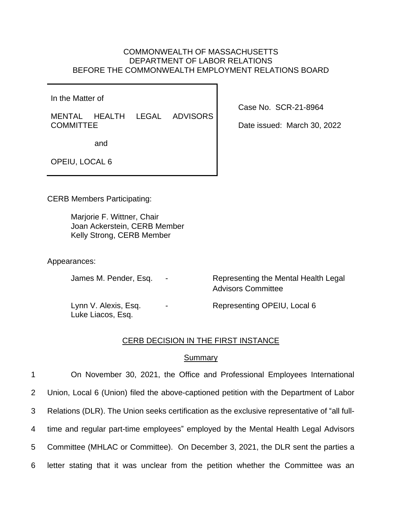# COMMONWEALTH OF MASSACHUSETTS DEPARTMENT OF LABOR RELATIONS BEFORE THE COMMONWEALTH EMPLOYMENT RELATIONS BOARD

In the Matter of

MENTAL HEALTH LEGAL ADVISORS **COMMITTEE** 

Case No. SCR-21-8964

Date issued: March 30, 2022

and

OPEIU, LOCAL 6

CERB Members Participating:

Marjorie F. Wittner, Chair Joan Ackerstein, CERB Member Kelly Strong, CERB Member

Appearances:

James M. Pender, Esq. - Representing the Mental Health Legal Advisors Committee

Luke Liacos, Esq.

Lynn V. Alexis, Esq. The Representing OPEIU, Local 6

## CERB DECISION IN THE FIRST INSTANCE

## Summary

 On November 30, 2021, the Office and Professional Employees International Union, Local 6 (Union) filed the above-captioned petition with the Department of Labor Relations (DLR). The Union seeks certification as the exclusive representative of "all full- time and regular part-time employees" employed by the Mental Health Legal Advisors Committee (MHLAC or Committee). On December 3, 2021, the DLR sent the parties a letter stating that it was unclear from the petition whether the Committee was an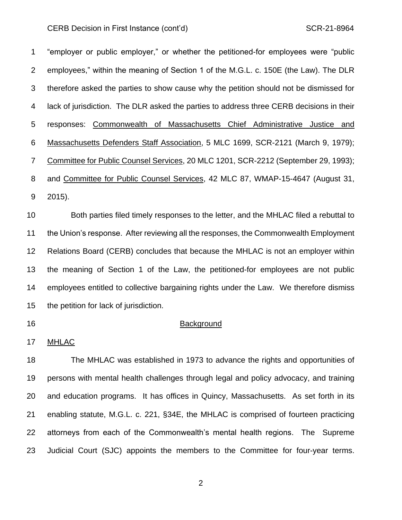"employer or public employer," or whether the petitioned-for employees were "public employees," within the meaning of Section 1 of the M.G.L. c. 150E (the Law). The DLR therefore asked the parties to show cause why the petition should not be dismissed for lack of jurisdiction. The DLR asked the parties to address three CERB decisions in their responses: Commonwealth of Massachusetts Chief Administrative Justice and Massachusetts Defenders Staff Association, 5 MLC 1699, SCR-2121 (March 9, 1979); Committee for Public Counsel Services, 20 MLC 1201, SCR-2212 (September 29, 1993); and Committee for Public Counsel Services, 42 MLC 87, WMAP-15-4647 (August 31, 2015).

 Both parties filed timely responses to the letter, and the MHLAC filed a rebuttal to the Union's response. After reviewing all the responses, the Commonwealth Employment Relations Board (CERB) concludes that because the MHLAC is not an employer within the meaning of Section 1 of the Law, the petitioned-for employees are not public employees entitled to collective bargaining rights under the Law. We therefore dismiss the petition for lack of jurisdiction.

## **Background**

#### MHLAC

 The MHLAC was established in 1973 to advance the rights and opportunities of persons with mental health challenges through legal and policy advocacy, and training and education programs. It has offices in Quincy, Massachusetts. As set forth in its enabling statute, M.G.L. c. 221, §34E, the MHLAC is comprised of fourteen practicing attorneys from each of the Commonwealth's mental health regions. The Supreme Judicial Court (SJC) appoints the members to the Committee for four-year terms.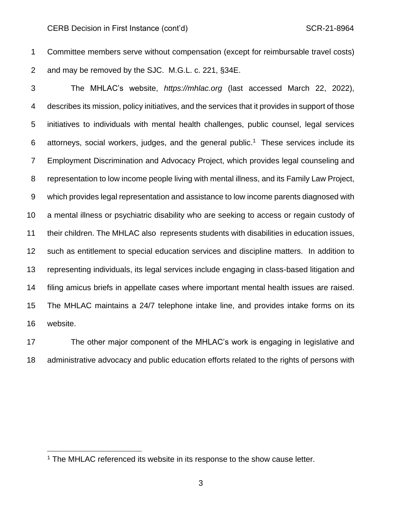Committee members serve without compensation (except for reimbursable travel costs) and may be removed by the SJC. M.G.L. c. 221, §34E.

 The MHLAC's website, *https://mhlac.org* (last accessed March 22, 2022), describes its mission, policy initiatives, and the services that it provides in support of those initiatives to individuals with mental health challenges, public counsel, legal services 6 attorneys, social workers, judges, and the general public.<sup>1</sup> These services include its Employment Discrimination and Advocacy Project, which provides legal counseling and representation to low income people living with mental illness, and its Family Law Project, which provides legal representation and assistance to low income parents diagnosed with a mental illness or psychiatric disability who are seeking to access or regain custody of their children. The MHLAC also represents students with disabilities in education issues, such as entitlement to special education services and discipline matters. In addition to representing individuals, its legal services include engaging in class-based litigation and filing amicus briefs in appellate cases where important mental health issues are raised. The MHLAC maintains a 24/7 telephone intake line, and provides intake forms on its website.

 The other major component of the MHLAC's work is engaging in legislative and administrative advocacy and public education efforts related to the rights of persons with

<sup>&</sup>lt;sup>1</sup> The MHLAC referenced its website in its response to the show cause letter.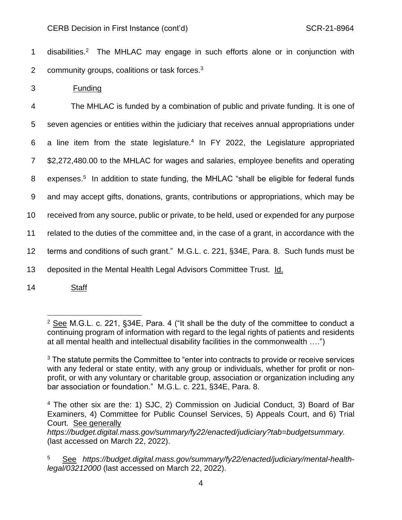1 disabilities.<sup>2</sup> The MHLAC may engage in such efforts alone or in conjunction with 2 community groups, coalitions or task forces. $3$ 

3 Funding

 The MHLAC is funded by a combination of public and private funding. It is one of seven agencies or entities within the judiciary that receives annual appropriations under 6 a line item from the state legislature. $4$  In FY 2022, the Legislature appropriated \$2,272,480.00 to the MHLAC for wages and salaries, employee benefits and operating 8 expenses.<sup>5</sup> In addition to state funding, the MHLAC "shall be eligible for federal funds and may accept gifts, donations, grants, contributions or appropriations, which may be received from any source, public or private, to be held, used or expended for any purpose related to the duties of the committee and, in the case of a grant, in accordance with the terms and conditions of such grant." M.G.L. c. 221, §34E, Para. 8. Such funds must be deposited in the Mental Health Legal Advisors Committee Trust. Id.

14 Staff

 $2$  See M.G.L. c. 221, §34E, Para. 4 ("It shall be the duty of the committee to conduct a continuing program of information with regard to the legal rights of patients and residents at all mental health and intellectual disability facilities in the commonwealth ….")

 $3$  The statute permits the Committee to "enter into contracts to provide or receive services with any federal or state entity, with any group or individuals, whether for profit or nonprofit, or with any voluntary or charitable group, association or organization including any bar association or foundation." M.G.L. c. 221, §34E, Para. 8.

<sup>4</sup> The other six are the: 1) SJC, 2) Commission on Judicial Conduct, 3) Board of Bar Examiners, 4) Committee for Public Counsel Services, 5) Appeals Court, and 6) Trial Court. See generally

*https://budget.digital.mass.gov/summary/fy22/enacted/judiciary?tab=budgetsummary.* (last accessed on March 22, 2022).

<sup>5</sup> See *https://budget.digital.mass.gov/summary/fy22/enacted/judiciary/mental-healthlegal/03212000* (last accessed on March 22, 2022).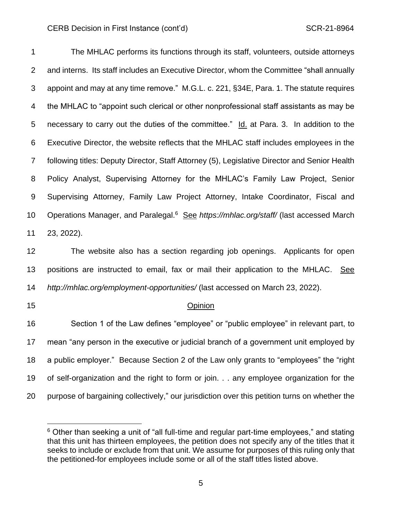The MHLAC performs its functions through its staff, volunteers, outside attorneys and interns. Its staff includes an Executive Director, whom the Committee "shall annually appoint and may at any time remove." M.G.L. c. 221, §34E, Para. 1. The statute requires the MHLAC to "appoint such clerical or other nonprofessional staff assistants as may be necessary to carry out the duties of the committee." Id. at Para. 3. In addition to the Executive Director, the website reflects that the MHLAC staff includes employees in the following titles: Deputy Director, Staff Attorney (5), Legislative Director and Senior Health Policy Analyst, Supervising Attorney for the MHLAC's Family Law Project, Senior Supervising Attorney, Family Law Project Attorney, Intake Coordinator, Fiscal and 10 Operations Manager, and Paralegal.<sup>6</sup> See *https://mhlac.org/staff/* (last accessed March 23, 2022).

 The website also has a section regarding job openings. Applicants for open positions are instructed to email, fax or mail their application to the MHLAC. See *http://mhlac.org/employment-opportunities/* (last accessed on March 23, 2022).

## Opinion

 Section 1 of the Law defines "employee" or "public employee" in relevant part, to mean "any person in the executive or judicial branch of a government unit employed by a public employer." Because Section 2 of the Law only grants to "employees" the "right of self-organization and the right to form or join. . . any employee organization for the purpose of bargaining collectively," our jurisdiction over this petition turns on whether the

 Other than seeking a unit of "all full-time and regular part-time employees," and stating that this unit has thirteen employees, the petition does not specify any of the titles that it seeks to include or exclude from that unit. We assume for purposes of this ruling only that the petitioned-for employees include some or all of the staff titles listed above.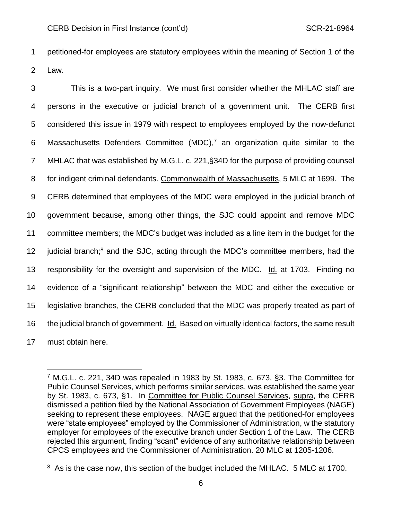1 petitioned-for employees are statutory employees within the meaning of Section 1 of the 2 Law.

 This is a two-part inquiry. We must first consider whether the MHLAC staff are persons in the executive or judicial branch of a government unit. The CERB first considered this issue in 1979 with respect to employees employed by the now-defunct 6 Massachusetts Defenders Committee (MDC),<sup>7</sup> an organization quite similar to the MHLAC that was established by M.G.L. c. 221,§34D for the purpose of providing counsel for indigent criminal defendants. Commonwealth of Massachusetts, 5 MLC at 1699. The CERB determined that employees of the MDC were employed in the judicial branch of government because, among other things, the SJC could appoint and remove MDC committee members; the MDC's budget was included as a line item in the budget for the 12 judicial branch;<sup>8</sup> and the SJC, acting through the MDC's committee members, had the responsibility for the oversight and supervision of the MDC. Id. at 1703. Finding no evidence of a "significant relationship" between the MDC and either the executive or legislative branches, the CERB concluded that the MDC was properly treated as part of the judicial branch of government. Id. Based on virtually identical factors, the same result must obtain here.

<sup>7</sup> M.G.L. c. 221, 34D was repealed in 1983 by St. 1983, c. 673, §3. The Committee for Public Counsel Services, which performs similar services, was established the same year by St. 1983, c. 673, §1. In Committee for Public Counsel Services, supra, the CERB dismissed a petition filed by the National Association of Government Employees (NAGE) seeking to represent these employees. NAGE argued that the petitioned-for employees were "state employees" employed by the Commissioner of Administration, w the statutory employer for employees of the executive branch under Section 1 of the Law. The CERB rejected this argument, finding "scant" evidence of any authoritative relationship between CPCS employees and the Commissioner of Administration. 20 MLC at 1205-1206.

<sup>&</sup>lt;sup>8</sup> As is the case now, this section of the budget included the MHLAC. 5 MLC at 1700.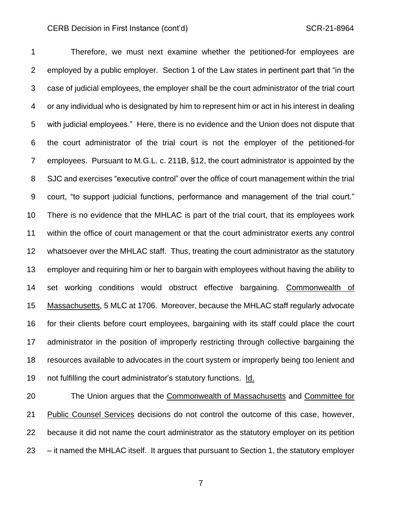Therefore, we must next examine whether the petitioned-for employees are employed by a public employer. Section 1 of the Law states in pertinent part that "in the case of judicial employees, the employer shall be the court administrator of the trial court or any individual who is designated by him to represent him or act in his interest in dealing with judicial employees." Here, there is no evidence and the Union does not dispute that the court administrator of the trial court is not the employer of the petitioned-for employees. Pursuant to M.G.L. c. 211B, §12, the court administrator is appointed by the SJC and exercises "executive control" over the office of court management within the trial court, "to support judicial functions, performance and management of the trial court." There is no evidence that the MHLAC is part of the trial court, that its employees work within the office of court management or that the court administrator exerts any control whatsoever over the MHLAC staff. Thus, treating the court administrator as the statutory employer and requiring him or her to bargain with employees without having the ability to set working conditions would obstruct effective bargaining. Commonwealth of Massachusetts, 5 MLC at 1706. Moreover, because the MHLAC staff regularly advocate for their clients before court employees, bargaining with its staff could place the court administrator in the position of improperly restricting through collective bargaining the resources available to advocates in the court system or improperly being too lenient and not fulfilling the court administrator's statutory functions. Id.

20 The Union argues that the Commonwealth of Massachusetts and Committee for Public Counsel Services decisions do not control the outcome of this case, however, because it did not name the court administrator as the statutory employer on its petition – it named the MHLAC itself. It argues that pursuant to Section 1, the statutory employer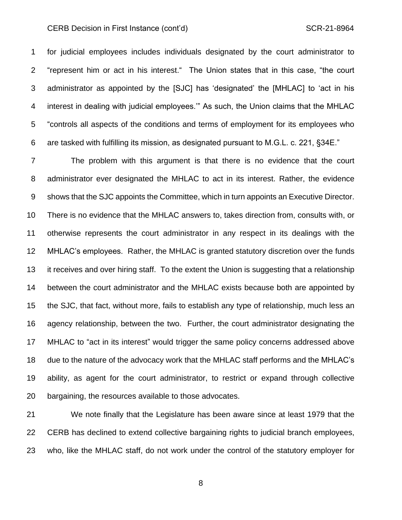for judicial employees includes individuals designated by the court administrator to "represent him or act in his interest." The Union states that in this case, "the court administrator as appointed by the [SJC] has 'designated' the [MHLAC] to 'act in his interest in dealing with judicial employees.'" As such, the Union claims that the MHLAC "controls all aspects of the conditions and terms of employment for its employees who are tasked with fulfilling its mission, as designated pursuant to M.G.L. c. 221, §34E."

 The problem with this argument is that there is no evidence that the court administrator ever designated the MHLAC to act in its interest. Rather, the evidence shows that the SJC appoints the Committee, which in turn appoints an Executive Director. There is no evidence that the MHLAC answers to, takes direction from, consults with, or otherwise represents the court administrator in any respect in its dealings with the MHLAC's employees. Rather, the MHLAC is granted statutory discretion over the funds it receives and over hiring staff. To the extent the Union is suggesting that a relationship between the court administrator and the MHLAC exists because both are appointed by the SJC, that fact, without more, fails to establish any type of relationship, much less an agency relationship, between the two. Further, the court administrator designating the MHLAC to "act in its interest" would trigger the same policy concerns addressed above due to the nature of the advocacy work that the MHLAC staff performs and the MHLAC's ability, as agent for the court administrator, to restrict or expand through collective bargaining, the resources available to those advocates.

 We note finally that the Legislature has been aware since at least 1979 that the CERB has declined to extend collective bargaining rights to judicial branch employees, who, like the MHLAC staff, do not work under the control of the statutory employer for